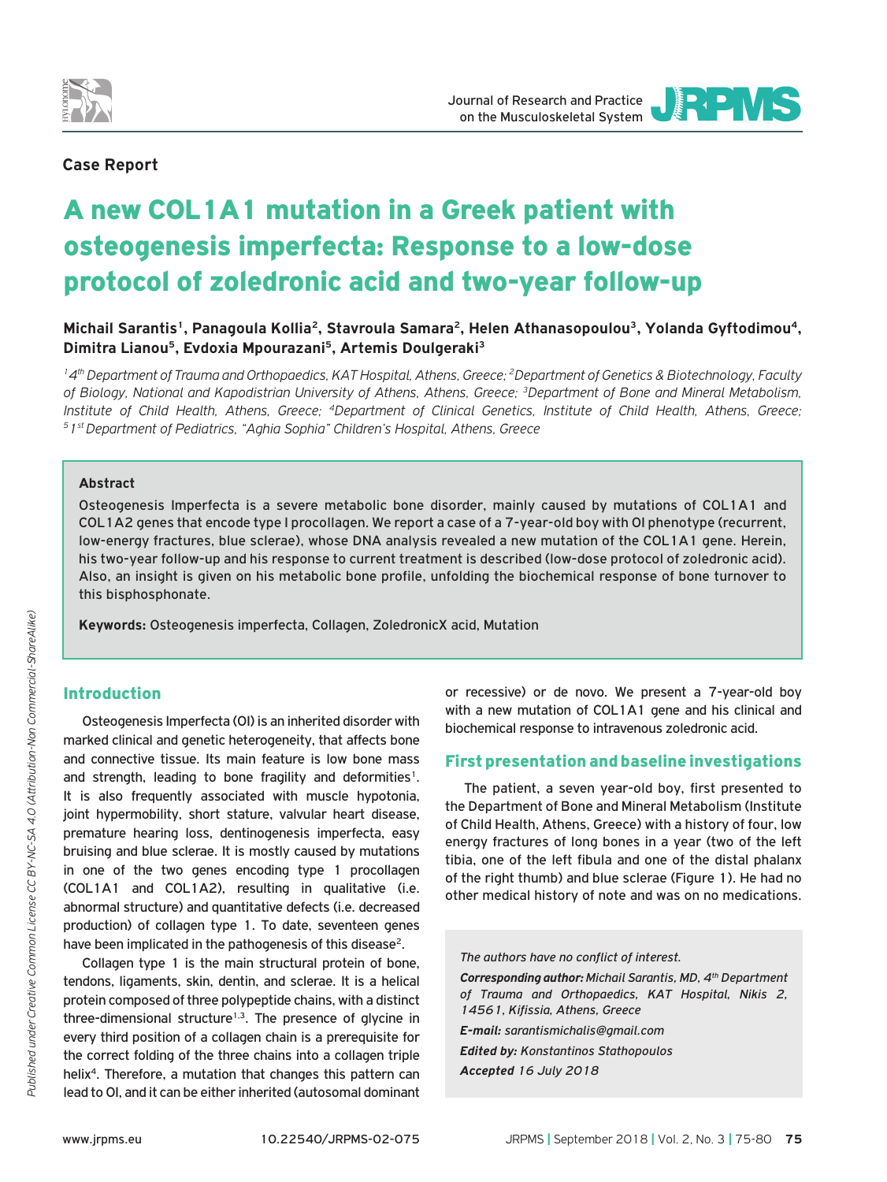

## **Case Report**

# A new COL1A1 mutation in a Greek patient with osteogenesis imperfecta: Response to a low-dose protocol of zoledronic acid and two-year follow-up

**Michail Sarantis1, Panagoula Kollia2, Stavroula Samara2, Helen Athanasopoulou3, Yolanda Gyftodimou4, Dimitra Lianou5, Evdoxia Mpourazani5, Artemis Doulgeraki3**

*14th Department of Trauma and Orthopaedics, KAT Hospital, Athens, Greece; 2Department of Genetics & Biotechnology, Faculty of Biology, National and Kapodistrian University of Athens, Athens, Greece; 3Department of Bone and Mineral Metabolism,*  Institute of Child Health, Athens, Greece; <sup>4</sup>Department of Clinical Genetics, Institute of Child Health, Athens, Greece;<br><sup>5</sup>1st Department of Pediatrics, "Aghia Sophia" Children's Hospital, Athens, Greece

#### **Abstract**

Osteogenesis Imperfecta is a severe metabolic bone disorder, mainly caused by mutations of COL1A1 and COL1A2 genes that encode type I procollagen. We report a case of a 7-year-old boy with OI phenotype (recurrent, low-energy fractures, blue sclerae), whose DNA analysis revealed a new mutation of the COL1A1 gene. Herein, his two-year follow-up and his response to current treatment is described (low-dose protocol of zoledronic acid). Also, an insight is given on his metabolic bone profile, unfolding the biochemical response of bone turnover to this bisphosphonate.

**Keywords:** Osteogenesis imperfecta, Collagen, ZoledronicX acid, Mutation

## Introduction

Osteogenesis Imperfecta (OI) is an inherited disorder with marked clinical and genetic heterogeneity, that affects bone and connective tissue. Its main feature is low bone mass and strength, leading to bone fragility and deformities<sup>1</sup>. It is also frequently associated with muscle hypotonia, joint hypermobility, short stature, valvular heart disease, premature hearing loss, dentinogenesis imperfecta, easy bruising and blue sclerae. It is mostly caused by mutations in one of the two genes encoding type 1 procollagen (COL1A1 and COL1A2), resulting in qualitative (i.e. abnormal structure) and quantitative defects (i.e. decreased production) of collagen type 1. To date, seventeen genes have been implicated in the pathogenesis of this disease<sup>2</sup>.

Collagen type 1 is the main structural protein of bone, tendons, ligaments, skin, dentin, and sclerae. It is a helical protein composed of three polypeptide chains, with a distinct three-dimensional structure<sup>1,3</sup>. The presence of glycine in every third position of a collagen chain is a prerequisite for the correct folding of the three chains into a collagen triple helix<sup>4</sup>. Therefore, a mutation that changes this pattern can lead to OI, and it can be either inherited (autosomal dominant

or recessive) or de novo. We present a 7-year-old boy with a new mutation of COL1A1 gene and his clinical and biochemical response to intravenous zoledronic acid.

## First presentation and baseline investigations

The patient, a seven year-old boy, first presented to the Department of Bone and Mineral Metabolism (Institute of Child Health, Athens, Greece) with a history of four, low energy fractures of long bones in a year (two of the left tibia, one of the left fibula and one of the distal phalanx of the right thumb) and blue sclerae (Figure 1). He had no other medical history of note and was on no medications.

*The authors have no conflict of interest. Corresponding author: Michail Sarantis, MD, 4th Department of Trauma and Orthopaedics, KAT Hospital, Nikis 2, 14561, Kifissia, Athens, Greece E-mail: sarantismichalis@gmail.com Edited by: Konstantinos Stathopoulos Accepted 16 July 2018*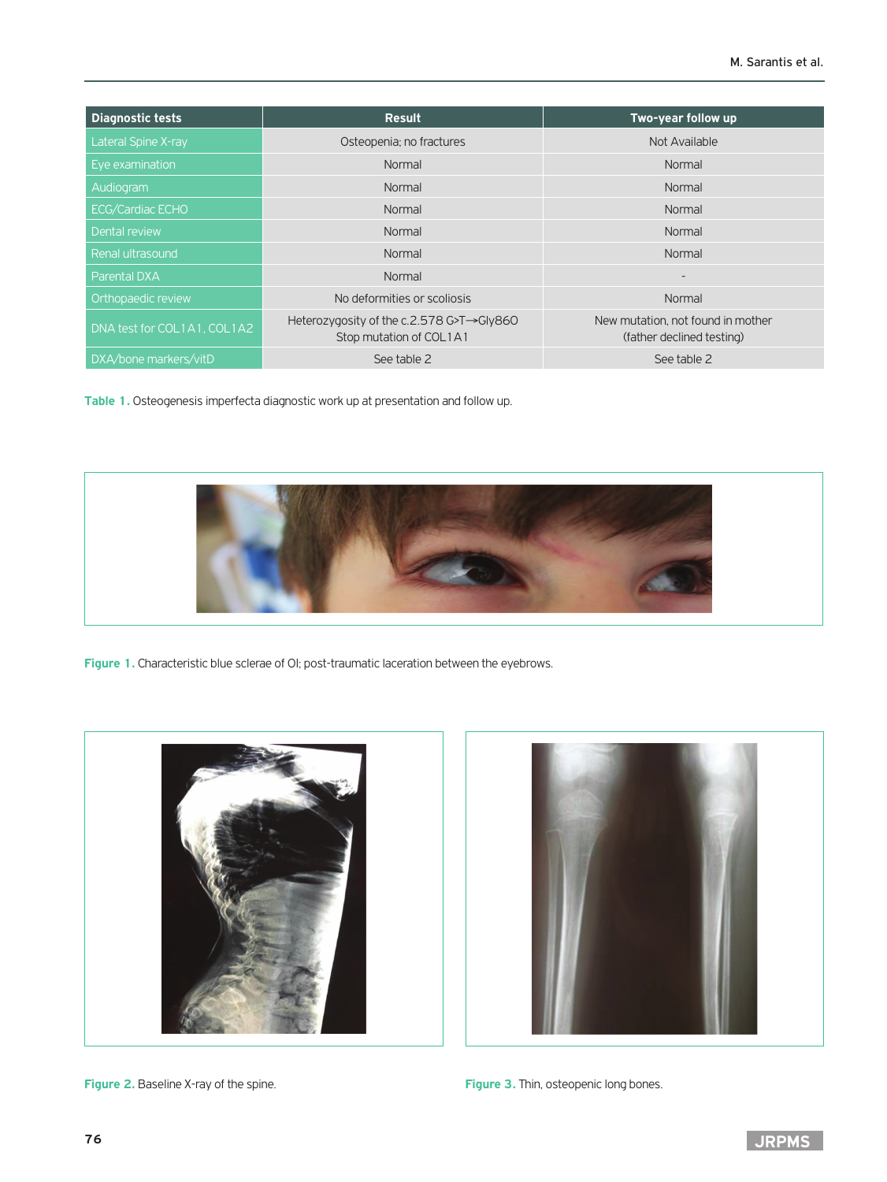| <b>Diagnostic tests</b>     | Result                                                              | Two-year follow up                                             |  |
|-----------------------------|---------------------------------------------------------------------|----------------------------------------------------------------|--|
| Lateral Spine X-ray         | Osteopenia; no fractures                                            | Not Available                                                  |  |
| Eye examination             | Normal                                                              | Normal                                                         |  |
| Audiogram                   | Normal                                                              | Normal                                                         |  |
| <b>ECG/Cardiac ECHO</b>     | Normal                                                              | Normal                                                         |  |
| Dental review               | Normal                                                              | Normal                                                         |  |
| Renal ultrasound            | Normal                                                              | Normal                                                         |  |
| Parental DXA                | Normal                                                              | $\overline{\phantom{a}}$                                       |  |
| Orthopaedic review          | No deformities or scoliosis                                         | Normal                                                         |  |
| DNA test for COL1A1, COL1A2 | Heterozygosity of the c.2.578 G>T→Gly860<br>Stop mutation of COL1A1 | New mutation, not found in mother<br>(father declined testing) |  |
| DXA/bone markers/vitD       | See table 2                                                         | See table 2                                                    |  |

**Table 1.** Osteogenesis imperfecta diagnostic work up at presentation and follow up.



Figure 1. Characteristic blue sclerae of OI; post-traumatic laceration between the eyebrows.





**Figure 2.** Baseline X-ray of the spine. **Figure 3.** Thin, osteopenic long bones.

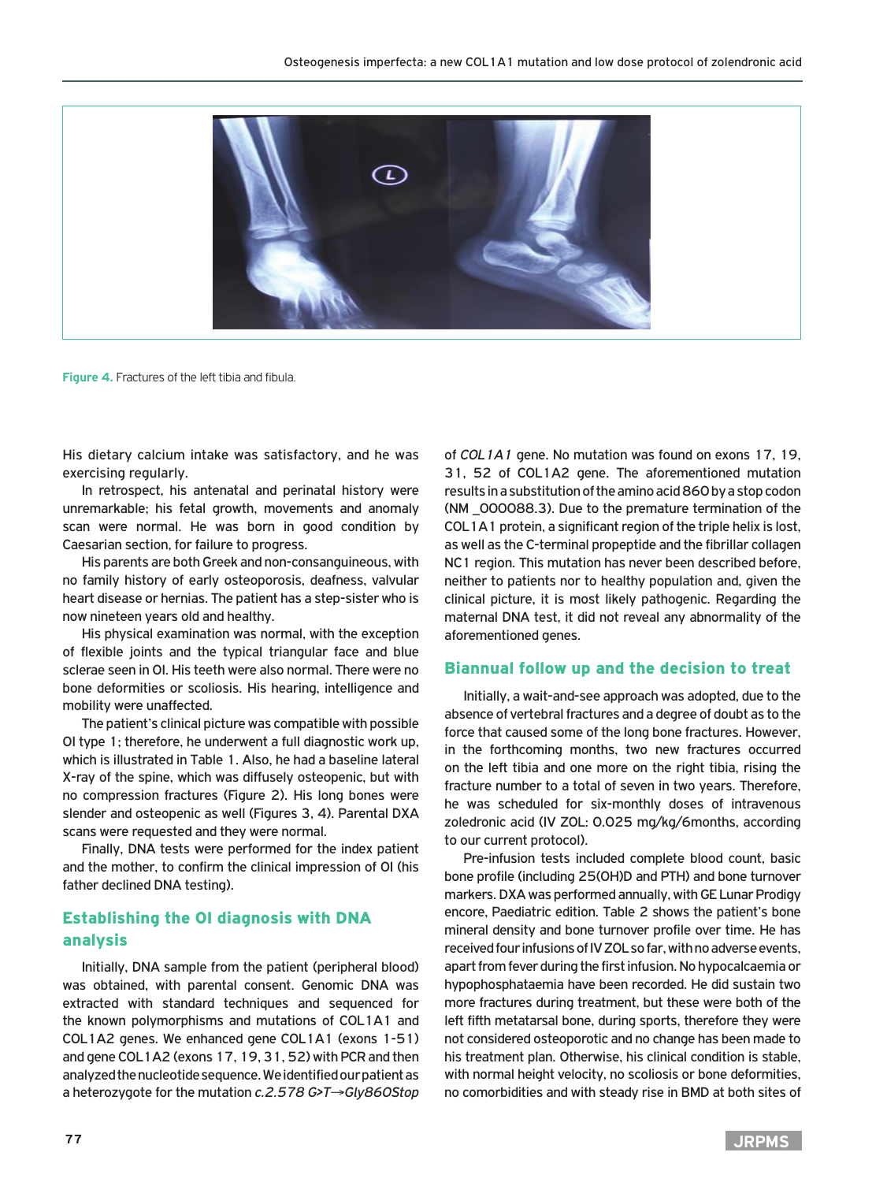

**Figure 4.** Fractures of the left tibia and fibula.

His dietary calcium intake was satisfactory, and he was exercising regularly.

In retrospect, his antenatal and perinatal history were unremarkable; his fetal growth, movements and anomaly scan were normal. He was born in good condition by Caesarian section, for failure to progress.

His parents are both Greek and non-consanguineous, with no family history of early osteoporosis, deafness, valvular heart disease or hernias. The patient has a step-sister who is now nineteen years old and healthy.

His physical examination was normal, with the exception of flexible joints and the typical triangular face and blue sclerae seen in OI. His teeth were also normal. There were no bone deformities or scoliosis. His hearing, intelligence and mobility were unaffected.

The patient's clinical picture was compatible with possible OI type 1; therefore, he underwent a full diagnostic work up, which is illustrated in Table 1. Also, he had a baseline lateral X-ray of the spine, which was diffusely osteopenic, but with no compression fractures (Figure 2). His long bones were slender and osteopenic as well (Figures 3, 4). Parental DXA scans were requested and they were normal.

Finally, DNA tests were performed for the index patient and the mother, to confirm the clinical impression of OI (his father declined DNA testing).

## Establishing the OI diagnosis with DNA analysis

Initially, DNA sample from the patient (peripheral blood) was obtained, with parental consent. Genomic DNA was extracted with standard techniques and sequenced for the known polymorphisms and mutations of COL1A1 and COL1A2 genes. We enhanced gene COL1A1 (exons 1-51) and gene COL1A2 (exons 17, 19, 31, 52) with PCR and then analyzed the nucleotide sequence. We identified our patient as a heterozygote for the mutation *c.2.578 G>T*→*Gly860Stop*  of *COL1A1* gene. No mutation was found on exons 17, 19, 31, 52 of COL1A2 gene. The aforementioned mutation results in a substitution of the amino acid 860 by a stop codon (NM \_000088.3). Due to the premature termination of the COL1A1 protein, a significant region of the triple helix is lost, as well as the C-terminal propeptide and the fibrillar collagen NC1 region. This mutation has never been described before, neither to patients nor to healthy population and, given the clinical picture, it is most likely pathogenic. Regarding the maternal DNA test, it did not reveal any abnormality of the aforementioned genes.

#### Biannual follow up and the decision to treat

Initially, a wait-and-see approach was adopted, due to the absence of vertebral fractures and a degree of doubt as to the force that caused some of the long bone fractures. However, in the forthcoming months, two new fractures occurred on the left tibia and one more on the right tibia, rising the fracture number to a total of seven in two years. Therefore, he was scheduled for six-monthly doses of intravenous zoledronic acid (IV ZOL: 0.025 mg/kg/6months, according to our current protocol).

Pre-infusion tests included complete blood count, basic bone profile (including 25(OH)D and PTH) and bone turnover markers. DXA was performed annually, with GE Lunar Prodigy encore, Paediatric edition. Table 2 shows the patient's bone mineral density and bone turnover profile over time. He has received four infusions of IV ZOL so far, with no adverse events, apart from fever during the first infusion. No hypocalcaemia or hypophosphataemia have been recorded. He did sustain two more fractures during treatment, but these were both of the left fifth metatarsal bone, during sports, therefore they were not considered osteoporotic and no change has been made to his treatment plan. Otherwise, his clinical condition is stable, with normal height velocity, no scoliosis or bone deformities, no comorbidities and with steady rise in BMD at both sites of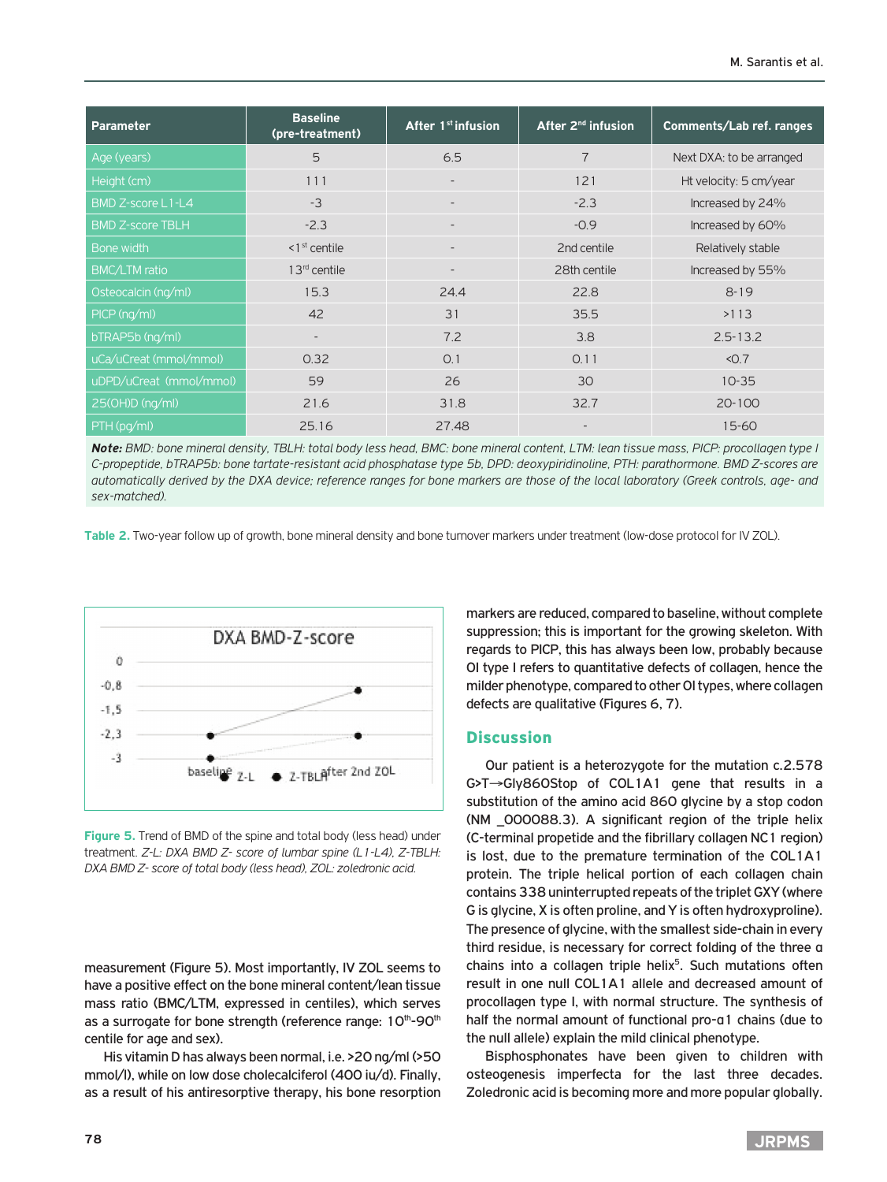| Parameter               | <b>Baseline</b><br>(pre-treatment) | After 1 <sup>st</sup> infusion | After $2^{nd}$ infusion | <b>Comments/Lab ref. ranges</b> |
|-------------------------|------------------------------------|--------------------------------|-------------------------|---------------------------------|
| Age (years)             | 5                                  | 6.5                            | $\overline{7}$          | Next DXA: to be arranged        |
| Height (cm)             | 111                                | $\overline{\phantom{a}}$       | 121                     | Ht velocity: 5 cm/year          |
| BMD Z-score L1-L4       | $-3$                               | $\overline{\phantom{a}}$       | $-2.3$                  | Increased by 24%                |
| <b>BMD Z-score TBLH</b> | $-2.3$                             |                                | $-0.9$                  | Increased by 60%                |
| Bone width              | $1st$ centile                      | $\overline{\phantom{0}}$       | 2nd centile             | Relatively stable               |
| <b>BMC/LTM</b> ratio    | $13rd$ centile                     | $\overline{\phantom{a}}$       | 28th centile            | Increased by 55%                |
| Osteocalcin (ng/ml)     | 15.3                               | 24.4                           | 22.8                    | $8 - 19$                        |
| PICP (ng/ml)            | 42                                 | $\overline{31}$                | 35.5                    | >113                            |
| bTRAP5b (ng/ml)         |                                    | 7.2                            | 3.8                     | $2.5 - 13.2$                    |
| uCa/uCreat (mmol/mmol)  | 0.32                               | O.1                            | 0.11                    | < 0.7                           |
| uDPD/uCreat (mmol/mmol) | 59                                 | 26                             | 30                      | $10 - 35$                       |
| 25(0H)D (ng/ml)         | 21.6                               | 31.8                           | 32.7                    | 20-100                          |
| PTH (pg/ml)             | 25.16                              | 27.48                          |                         | $15 - 60$                       |

*Note: BMD: bone mineral density, TBLH: total body less head, BMC: bone mineral content, LTM: lean tissue mass, PICP: procollagen type I C-propeptide, bTRAP5b: bone tartate-resistant acid phosphatase type 5b, DPD: deoxypiridinoline, PTH: parathormone. BMD Z-scores are automatically derived by the DXA device; reference ranges for bone markers are those of the local laboratory (Greek controls, age- and sex-matched).*

**Table 2.** Two-year follow up of growth, bone mineral density and bone turnover markers under treatment (low-dose protocol for IV ZOL).



**Figure 5.** Trend of BMD of the spine and total body (less head) under treatment. *Z-L: DXA BMD Z- score of lumbar spine (L1-L4), Z-ΤΒLH: DXA BMD Z- score of total body (less head), ΖΟL: zoledronic acid.*

measurement (Figure 5). Most importantly, IV ZOL seems to have a positive effect on the bone mineral content/lean tissue mass ratio (BMC/LTM, expressed in centiles), which serves as a surrogate for bone strength (reference range: 10<sup>th</sup>-90<sup>th</sup> centile for age and sex).

His vitamin D has always been normal, i.e. >20 ng/ml (>50 mmol/l), while on low dose cholecalciferol (400 iu/d). Finally, as a result of his antiresorptive therapy, his bone resorption markers are reduced, compared to baseline, without complete suppression; this is important for the growing skeleton. With regards to PICP, this has always been low, probably because OI type I refers to quantitative defects of collagen, hence the milder phenotype, compared to other OI types, where collagen defects are qualitative (Figures 6, 7).

### **Discussion**

Our patient is a heterozygote for the mutation c.2.578 G>T→Gly860Stop of COL1A1 gene that results in a substitution of the amino acid 860 glycine by a stop codon (NM \_000088.3). A significant region of the triple helix (C-terminal propetide and the fibrillary collagen NC1 region) is lost, due to the premature termination of the COL1A1 protein. The triple helical portion of each collagen chain contains 338 uninterrupted repeats of the triplet GXY (where G is glycine, X is often proline, and Y is often hydroxyproline). The presence of glycine, with the smallest side-chain in every third residue, is necessary for correct folding of the three α chains into a collagen triple helix<sup>5</sup>. Such mutations often result in one null COL1A1 allele and decreased amount of procollagen type I, with normal structure. The synthesis of half the normal amount of functional pro-α1 chains (due to the null allele) explain the mild clinical phenotype.

Bisphosphonates have been given to children with osteogenesis imperfecta for the last three decades. Zoledronic acid is becoming more and more popular globally.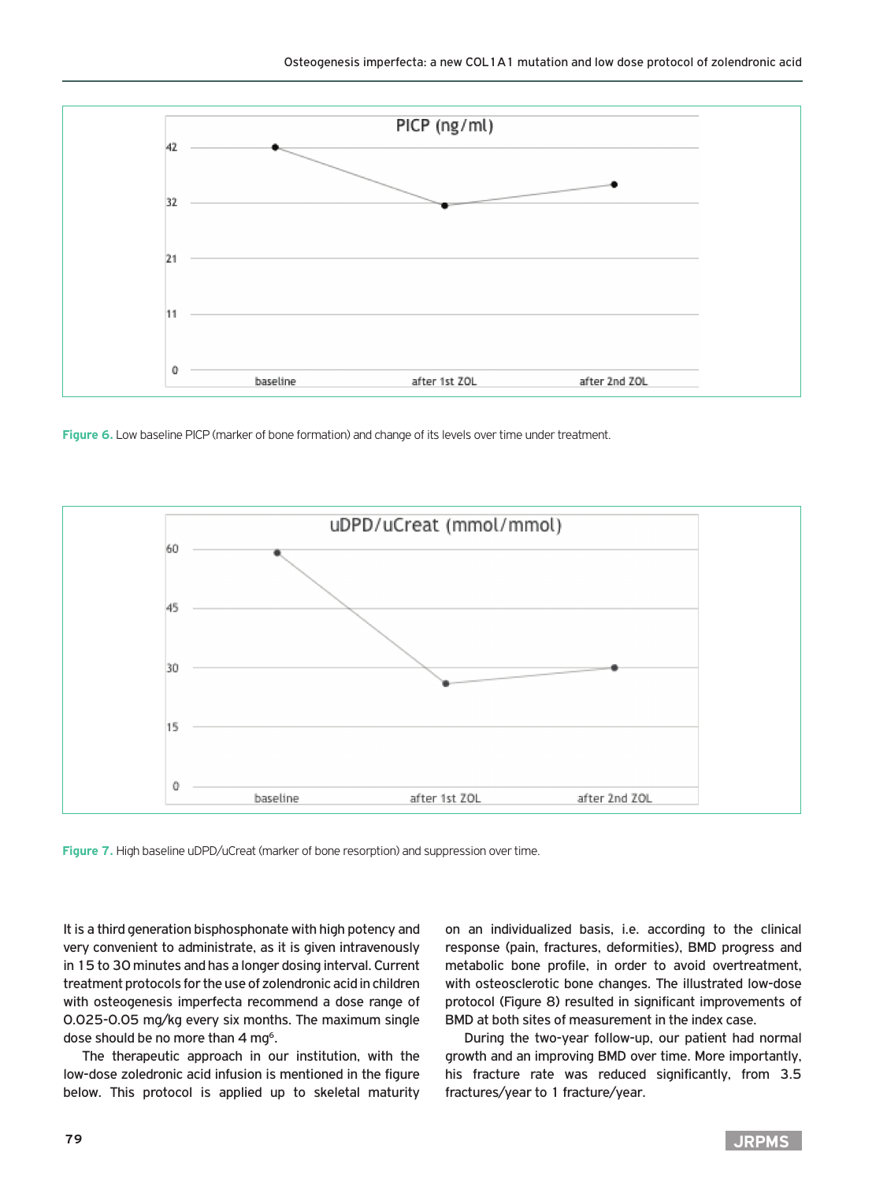

**Figure 6.** Low baseline PICP (marker of bone formation) and change of its levels over time under treatment.



**Figure 7.** High baseline uDPD/uCreat (marker of bone resorption) and suppression over time.

It is a third generation bisphosphonate with high potency and very convenient to administrate, as it is given intravenously in 15 to 30 minutes and has a longer dosing interval. Current treatment protocols for the use of zolendronic acid in children with osteogenesis imperfecta recommend a dose range of 0.025-0.05 mg/kg every six months. The maximum single dose should be no more than 4 mg<sup>6</sup>.

The therapeutic approach in our institution, with the low-dose zoledronic acid infusion is mentioned in the figure below. This protocol is applied up to skeletal maturity

on an individualized basis, i.e. according to the clinical response (pain, fractures, deformities), BMD progress and metabolic bone profile, in order to avoid overtreatment, with osteosclerotic bone changes. The illustrated low-dose protocol (Figure 8) resulted in significant improvements of BMD at both sites of measurement in the index case.

During the two-year follow-up, our patient had normal growth and an improving BMD over time. More importantly, his fracture rate was reduced significantly, from 3.5 fractures/year to 1 fracture/year.